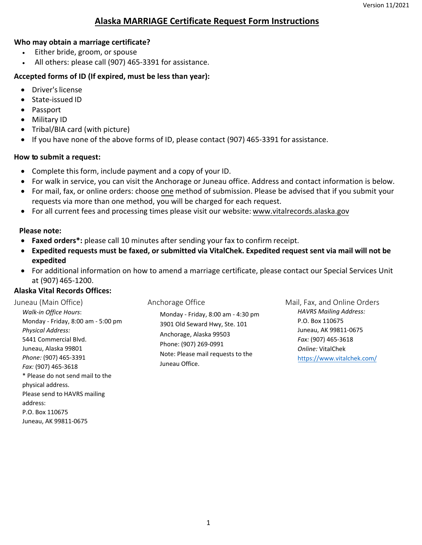## **Alaska MARRIAGE Certificate Request Form Instructions**

#### **Who may obtain a marriage certificate?**

- Either bride, groom, or spouse
- All others: please call (907) 465-3391 for assistance.

#### **Accepted forms of ID (If expired, must be less than year):**  Ī

- Driver's license
- State-issued ID
- Passport
- Military ID
- Tribal/BIA card (with picture)
- If you have none of the above forms of ID, please contact (907) 465-3391 for assistance.

### **How to submit a request:**

- Complete this form, include payment and a copy of your ID.
- For walk in service, you can visit the Anchorage or Juneau office. Address and contact information is below.
- For mail, fax, or online orders: choose one method of submission. Please be advised that if you submit your requests via more than one method, you will be charged for each request.
- For all current fees and processing times please visit our website: <www.vitalrecords.alaska.gov>

### **Please note:**

- **Faxed orders\*:** please call 10 minutes after sending your fax to confirm receipt.
- **Expedited requests must be faxed, or submitted via VitalChek. Expedited request sent via mail will not be expedited**
- • For additional information on how to amend a marriage certificate, please contact our Special Services Unit at (907) 465-1200.

## **Alaska Vital Records Offices:**

Please send to HAVRS mailing

address:

P.O. Box 110675 Juneau, AK 99811-0675

| Juneau (Main Office)                                                                                                                                                                                                                                     | Anchorage Office                                                                                                                                                               | Mail, Fax, and Online Orders                                                                                                                        |
|----------------------------------------------------------------------------------------------------------------------------------------------------------------------------------------------------------------------------------------------------------|--------------------------------------------------------------------------------------------------------------------------------------------------------------------------------|-----------------------------------------------------------------------------------------------------------------------------------------------------|
| <b>Walk-in Office Hours:</b><br>Monday - Friday, 8:00 am - 5:00 pm<br><b>Physical Address:</b><br>5441 Commercial Blvd.<br>Juneau, Alaska 99801<br>Phone: (907) 465-3391<br>Fax: (907) 465-3618<br>* Please do not send mail to the<br>physical address. | Monday - Friday, 8:00 am - 4:30 pm<br>3901 Old Seward Hwy, Ste. 101<br>Anchorage, Alaska 99503<br>Phone: (907) 269-0991<br>Note: Please mail requests to the<br>Juneau Office. | <b>HAVRS Mailing Address:</b><br>P.O. Box 110675<br>Juneau, AK 99811-0675<br>Fax: (907) 465-3618<br>Online: VitalChek<br>https://www.vitalchek.com/ |